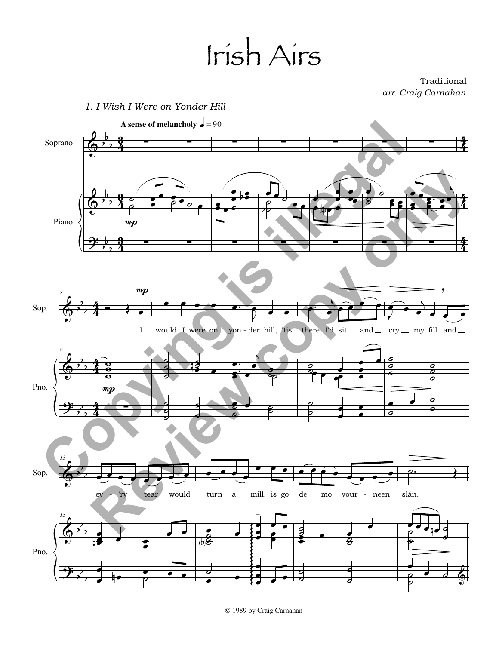## Irish Airs

Traditional *arr. Craig Carnahan*



© 1989 by Craig Carnahan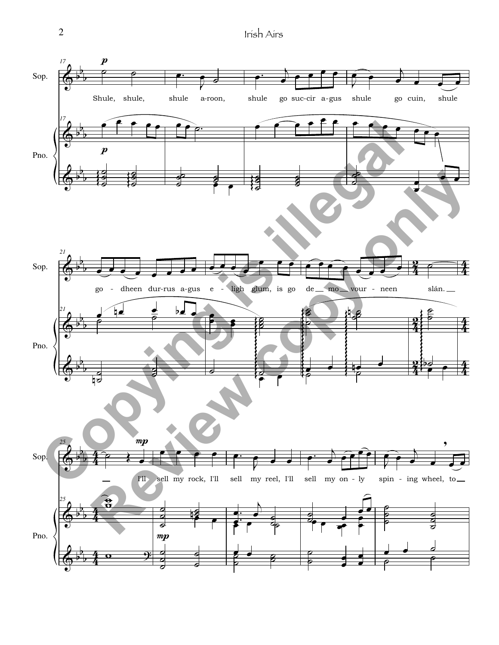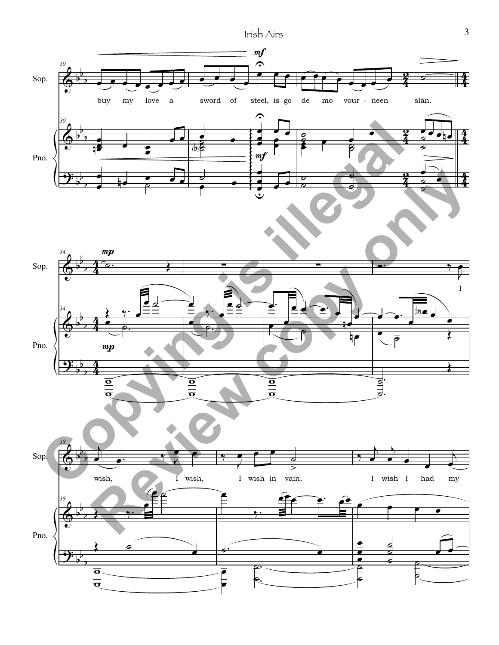Irish Airs 3



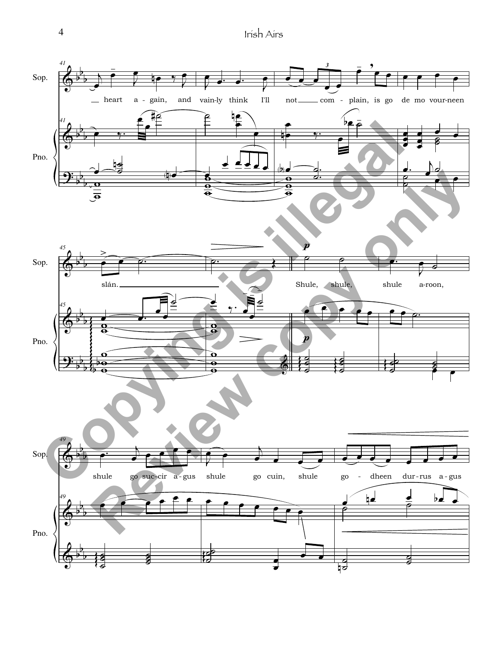